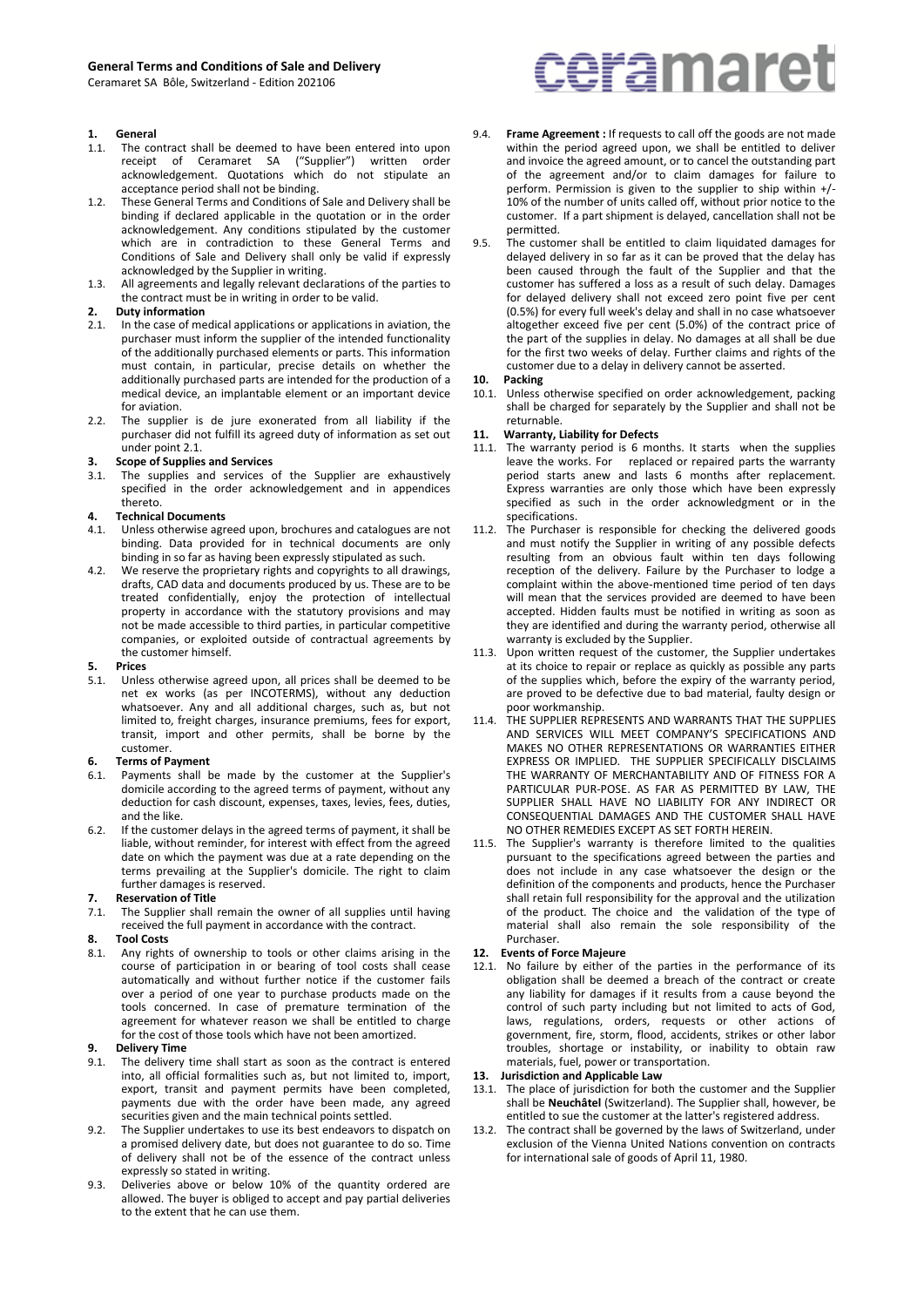Ceramaret SA Bôle, Switzerland - Edition 202106

# **1. General**<br>**1.1.** The co

- The contract shall be deemed to have been entered into upon receipt of Ceramaret SA ("Supplier") written order acknowledgement. Quotations which do not stipulate an acceptance period shall not be binding.
- 1.2. These General Terms and Conditions of Sale and Delivery shall be binding if declared applicable in the quotation or in the order acknowledgement. Any conditions stipulated by the customer which are in contradiction to these General Terms and Conditions of Sale and Delivery shall only be valid if expressly acknowledged by the Supplier in writing.
- 1.3. All agreements and legally relevant declarations of the parties to the contract must be in writing in order to be valid.

### **2. Duty information**

- 2.1. In the case of medical applications or applications in aviation, the purchaser must inform the supplier of the intended functionality of the additionally purchased elements or parts. This information must contain, in particular, precise details on whether the additionally purchased parts are intended for the production of a medical device, an implantable element or an important device for aviation.
- 2.2. The supplier is de jure exonerated from all liability if the purchaser did not fulfill its agreed duty of information as set out under point 2.1.

#### **3. Scope of Supplies and Services**

3.1. The supplies and services of the Supplier are exhaustively specified in the order acknowledgement and in appendices thereto.

#### **4. Technical Documents**

- 4.1. Unless otherwise agreed upon, brochures and catalogues are not binding. Data provided for in technical documents are only binding in so far as having been expressly stipulated as such.
- 4.2. We reserve the proprietary rights and copyrights to all drawings, drafts, CAD data and documents produced by us. These are to be treated confidentially, enjoy the protection of intellectual property in accordance with the statutory provisions and may not be made accessible to third parties, in particular competitive companies, or exploited outside of contractual agreements by the customer himself.

# **5. Prices**

Unless otherwise agreed upon, all prices shall be deemed to be net ex works (as per INCOTERMS), without any deduction whatsoever. Any and all additional charges, such as, but not limited to, freight charges, insurance premiums, fees for export, transit, import and other permits, shall be borne by the customer.

# **6. Terms of Payment**

- Payments shall be made by the customer at the Supplier's domicile according to the agreed terms of payment, without any deduction for cash discount, expenses, taxes, levies, fees, duties, and the like.
- 6.2. If the customer delays in the agreed terms of payment, it shall be liable, without reminder, for interest with effect from the agreed date on which the payment was due at a rate depending on the terms prevailing at the Supplier's domicile. The right to claim further damages is reserved.

#### **7. Reservation of Title**

7.1. The Supplier shall remain the owner of all supplies until having received the full payment in accordance with the contract.

# **8. Tool Costs**

Any rights of ownership to tools or other claims arising in the course of participation in or bearing of tool costs shall cease automatically and without further notice if the customer fails over a period of one year to purchase products made on the tools concerned. In case of premature termination of the agreement for whatever reason we shall be entitled to charge for the cost of those tools which have not been amortized.

# **9. Delivery Time**<br>**9.1.** The delivery

- The delivery time shall start as soon as the contract is entered into, all official formalities such as, but not limited to, import, export, transit and payment permits have been completed, payments due with the order have been made, any agreed securities given and the main technical points settled.
- 9.2. The Supplier undertakes to use its best endeavors to dispatch on a promised delivery date, but does not guarantee to do so. Time of delivery shall not be of the essence of the contract unless expressly so stated in writing.
- 9.3. Deliveries above or below 10% of the quantity ordered are allowed. The buyer is obliged to accept and pay partial deliveries to the extent that he can use them.

# ceramaret

- 9.4. **Frame Agreement :** If requests to call off the goods are not made within the period agreed upon, we shall be entitled to deliver and invoice the agreed amount, or to cancel the outstanding part of the agreement and/or to claim damages for failure to perform. Permission is given to the supplier to ship within +/- 10% of the number of units called off, without prior notice to the customer. If a part shipment is delayed, cancellation shall not be permitted.
- The customer shall be entitled to claim liquidated damages for delayed delivery in so far as it can be proved that the delay has been caused through the fault of the Supplier and that the customer has suffered a loss as a result of such delay. Damages for delayed delivery shall not exceed zero point five per cent (0.5%) for every full week's delay and shall in no case whatsoever altogether exceed five per cent (5.0%) of the contract price of the part of the supplies in delay. No damages at all shall be due for the first two weeks of delay. Further claims and rights of the customer due to a delay in delivery cannot be asserted.

#### **10. Packing**

10.1. Unless otherwise specified on order acknowledgement, packing shall be charged for separately by the Supplier and shall not be returnable.

#### **11. Warranty, Liability for Defects**

- 11.1. The warranty period is 6 months. It starts when the supplies leave the works. For replaced or repaired parts the warranty period starts anew and lasts 6 months after replacement. Express warranties are only those which have been expressly specified as such in the order acknowledgment or in the specifications.
- 11.2. The Purchaser is responsible for checking the delivered goods and must notify the Supplier in writing of any possible defects resulting from an obvious fault within ten days following reception of the delivery. Failure by the Purchaser to lodge a complaint within the above-mentioned time period of ten days will mean that the services provided are deemed to have been accepted. Hidden faults must be notified in writing as soon as they are identified and during the warranty period, otherwise all warranty is excluded by the Supplier.
- 11.3. Upon written request of the customer, the Supplier undertakes at its choice to repair or replace as quickly as possible any parts of the supplies which, before the expiry of the warranty period, are proved to be defective due to bad material, faulty design or poor workmanship.
- 11.4. THE SUPPLIER REPRESENTS AND WARRANTS THAT THE SUPPLIES AND SERVICES WILL MEET COMPANY'S SPECIFICATIONS AND MAKES NO OTHER REPRESENTATIONS OR WARRANTIES EITHER EXPRESS OR IMPLIED. THE SUPPLIER SPECIFICALLY DISCLAIMS THE WARRANTY OF MERCHANTABILITY AND OF FITNESS FOR A PARTICULAR PUR-POSE. AS FAR AS PERMITTED BY LAW, THE SUPPLIER SHALL HAVE NO LIABILITY FOR ANY INDIRECT OR CONSEQUENTIAL DAMAGES AND THE CUSTOMER SHALL HAVE NO OTHER REMEDIES EXCEPT AS SET FORTH HEREIN.
- 11.5. The Supplier's warranty is therefore limited to the qualities pursuant to the specifications agreed between the parties and does not include in any case whatsoever the design or the definition of the components and products, hence the Purchaser shall retain full responsibility for the approval and the utilization of the product. The choice and the validation of the type of material shall also remain the sole responsibility of the Purchaser.

#### **12. Events of Force Majeure**

12.1. No failure by either of the parties in the performance of its obligation shall be deemed a breach of the contract or create any liability for damages if it results from a cause beyond the control of such party including but not limited to acts of God, laws, regulations, orders, requests or other actions of government, fire, storm, flood, accidents, strikes or other labor troubles, shortage or instability, or inability to obtain raw materials, fuel, power or transportation.

#### **13. Jurisdiction and Applicable Law**

- 13.1. The place of jurisdiction for both the customer and the Supplier shall be **Neuchâtel** (Switzerland). The Supplier shall, however, be entitled to sue the customer at the latter's registered address.
- 13.2. The contract shall be governed by the laws of Switzerland, under exclusion of the Vienna United Nations convention on contracts for international sale of goods of April 11, 1980.